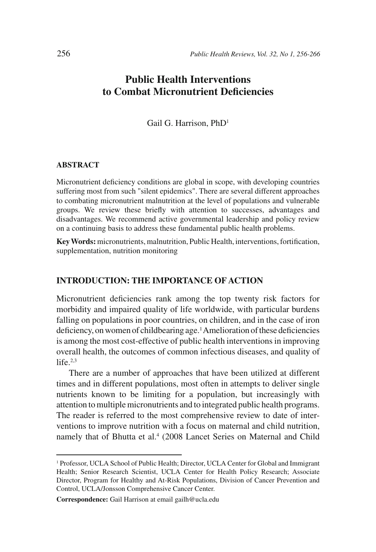# **Public Health Interventions to Combat Micronutrient Deficiencies**

Gail G. Harrison, PhD1

#### **ABSTRACT**

Micronutrient deficiency conditions are global in scope, with developing countries suffering most from such "silent epidemics". There are several different approaches to combating micronutrient malnutrition at the level of populations and vulnerable groups. We review these briefly with attention to successes, advantages and disadvantages. We recommend active governmental leadership and policy review on a continuing basis to address these fundamental public health problems.

**Key Words:** micronutrients, malnutrition, Public Health, interventions, fortification, supplementation, nutrition monitoring

### **INTRODUCTION: THE IMPORTANCE OF ACTION**

Micronutrient deficiencies rank among the top twenty risk factors for morbidity and impaired quality of life worldwide, with particular burdens falling on populations in poor countries, on children, and in the case of iron deficiency, on women of childbearing age.<sup>1</sup> Amelioration of these deficiencies is among the most cost-effective of public health interventions in improving overall health, the outcomes of common infectious diseases, and quality of  $life.$ <sup>2,3</sup>

There are a number of approaches that have been utilized at different times and in different populations, most often in attempts to deliver single nutrients known to be limiting for a population, but increasingly with attention to multiple micronutrients and to integrated public health programs. The reader is referred to the most comprehensive review to date of interventions to improve nutrition with a focus on maternal and child nutrition, namely that of Bhutta et al.<sup>4</sup> (2008 Lancet Series on Maternal and Child

<sup>1</sup> Professor, UCLA School of Public Health; Director, UCLA Center for Global and Immigrant Health; Senior Research Scientist, UCLA Center for Health Policy Research; Associate Director, Program for Healthy and At-Risk Populations, Division of Cancer Prevention and Control, UCLA/Jonsson Comprehensive Cancer Center.

**Correspondence:** Gail Harrison at email gailh@ucla.edu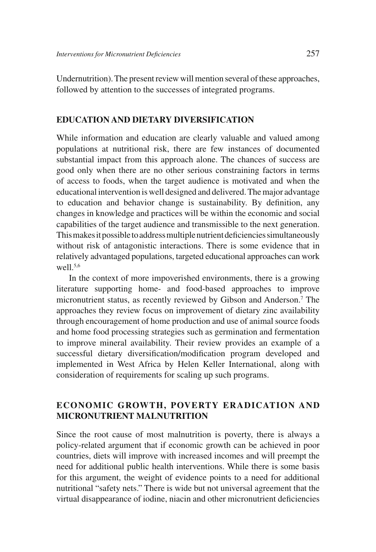Undernutrition). The present review will mention several of these approaches, followed by attention to the successes of integrated programs.

#### **EDUCATION AND DIETARY DIVERSIFICATION**

While information and education are clearly valuable and valued among populations at nutritional risk, there are few instances of documented substantial impact from this approach alone. The chances of success are good only when there are no other serious constraining factors in terms of access to foods, when the target audience is motivated and when the educational intervention is well designed and delivered. The major advantage to education and behavior change is sustainability. By definition, any changes in knowledge and practices will be within the economic and social capabilities of the target audience and transmissible to the next generation. This makes it possible to address multiple nutrient deficiencies simultaneously without risk of antagonistic interactions. There is some evidence that in relatively advantaged populations, targeted educational approaches can work well.5,6

In the context of more impoverished environments, there is a growing literature supporting home- and food-based approaches to improve micronutrient status, as recently reviewed by Gibson and Anderson.7 The approaches they review focus on improvement of dietary zinc availability through encouragement of home production and use of animal source foods and home food processing strategies such as germination and fermentation to improve mineral availability. Their review provides an example of a successful dietary diversification/modification program developed and implemented in West Africa by Helen Keller International, along with consideration of requirements for scaling up such programs.

# **ECONOMIC GROWTH, POVERTY ERADICATION AND MICRONUTRIENT MALNUTRITION**

Since the root cause of most malnutrition is poverty, there is always a policy-related argument that if economic growth can be achieved in poor countries, diets will improve with increased incomes and will preempt the need for additional public health interventions. While there is some basis for this argument, the weight of evidence points to a need for additional nutritional "safety nets." There is wide but not universal agreement that the virtual disappearance of iodine, niacin and other micronutrient deficiencies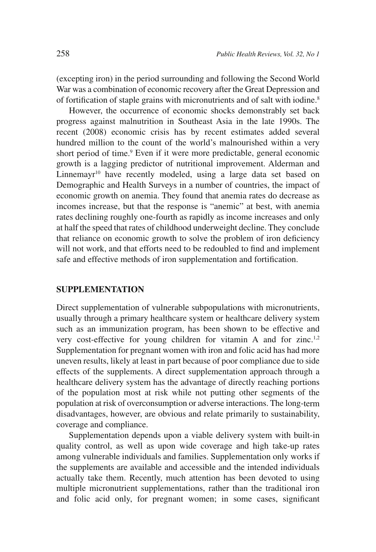(excepting iron) in the period surrounding and following the Second World War was a combination of economic recovery after the Great Depression and of fortification of staple grains with micronutrients and of salt with iodine.<sup>8</sup>

However, the occurrence of economic shocks demonstrably set back progress against malnutrition in Southeast Asia in the late 1990s. The recent (2008) economic crisis has by recent estimates added several hundred million to the count of the world's malnourished within a very short period of time.<sup>9</sup> Even if it were more predictable, general economic growth is a lagging predictor of nutritional improvement. Alderman and Linnemayr<sup>10</sup> have recently modeled, using a large data set based on Demographic and Health Surveys in a number of countries, the impact of economic growth on anemia. They found that anemia rates do decrease as incomes increase, but that the response is "anemic" at best, with anemia rates declining roughly one-fourth as rapidly as income increases and only at half the speed that rates of childhood underweight decline. They conclude that reliance on economic growth to solve the problem of iron deficiency will not work, and that efforts need to be redoubled to find and implement safe and effective methods of iron supplementation and fortification.

#### **SUPPLEMENTATION**

Direct supplementation of vulnerable subpopulations with micronutrients, usually through a primary healthcare system or healthcare delivery system such as an immunization program, has been shown to be effective and very cost-effective for young children for vitamin A and for zinc.1,2 Supplementation for pregnant women with iron and folic acid has had more uneven results, likely at least in part because of poor compliance due to side effects of the supplements. A direct supplementation approach through a healthcare delivery system has the advantage of directly reaching portions of the population most at risk while not putting other segments of the population at risk of overconsumption or adverse interactions. The long-term disadvantages, however, are obvious and relate primarily to sustainability, coverage and compliance.

Supplementation depends upon a viable delivery system with built-in quality control, as well as upon wide coverage and high take-up rates among vulnerable individuals and families. Supplementation only works if the supplements are available and accessible and the intended individuals actually take them. Recently, much attention has been devoted to using multiple micronutrient supplementations, rather than the traditional iron and folic acid only, for pregnant women; in some cases, significant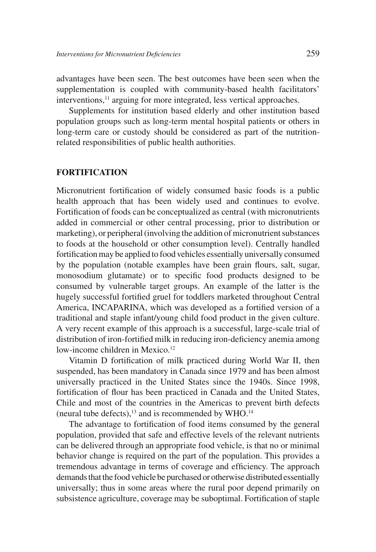advantages have been seen. The best outcomes have been seen when the supplementation is coupled with community-based health facilitators' interventions,<sup>11</sup> arguing for more integrated, less vertical approaches.

Supplements for institution based elderly and other institution based population groups such as long-term mental hospital patients or others in long-term care or custody should be considered as part of the nutritionrelated responsibilities of public health authorities.

### **FORTIFICATION**

Micronutrient fortification of widely consumed basic foods is a public health approach that has been widely used and continues to evolve. Fortification of foods can be conceptualized as central (with micronutrients added in commercial or other central processing, prior to distribution or marketing), or peripheral (involving the addition of micronutrient substances to foods at the household or other consumption level). Centrally handled fortification may be applied to food vehicles essentially universally consumed by the population (notable examples have been grain flours, salt, sugar, monosodium glutamate) or to specific food products designed to be consumed by vulnerable target groups. An example of the latter is the hugely successful fortified gruel for toddlers marketed throughout Central America, INCAPARINA, which was developed as a fortified version of a traditional and staple infant/young child food product in the given culture. A very recent example of this approach is a successful, large-scale trial of distribution of iron-fortified milk in reducing iron-deficiency anemia among low-income children in Mexico.<sup>12</sup>

Vitamin D fortification of milk practiced during World War II, then suspended, has been mandatory in Canada since 1979 and has been almost universally practiced in the United States since the 1940s. Since 1998, fortification of flour has been practiced in Canada and the United States, Chile and most of the countries in the Americas to prevent birth defects (neural tube defects), $13$  and is recommended by WHO. $14$ 

The advantage to fortification of food items consumed by the general population, provided that safe and effective levels of the relevant nutrients can be delivered through an appropriate food vehicle, is that no or minimal behavior change is required on the part of the population. This provides a tremendous advantage in terms of coverage and efficiency. The approach demands that the food vehicle be purchased or otherwise distributed essentially universally; thus in some areas where the rural poor depend primarily on subsistence agriculture, coverage may be suboptimal. Fortification of staple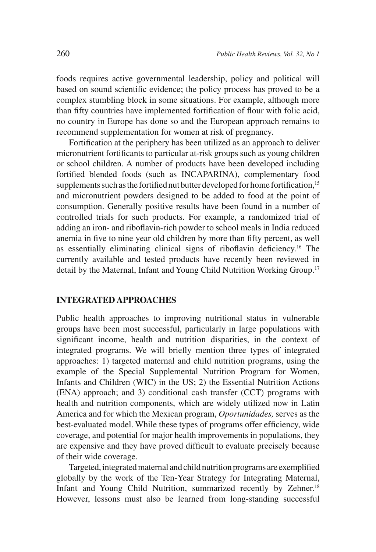foods requires active governmental leadership, policy and political will based on sound scientific evidence; the policy process has proved to be a complex stumbling block in some situations. For example, although more than fifty countries have implemented fortification of flour with folic acid, no country in Europe has done so and the European approach remains to recommend supplementation for women at risk of pregnancy.

Fortification at the periphery has been utilized as an approach to deliver micronutrient fortificants to particular at-risk groups such as young children or school children. A number of products have been developed including fortified blended foods (such as INCAPARINA), complementary food supplements such as the fortified nut butter developed for home fortification,  $15$ and micronutrient powders designed to be added to food at the point of consumption. Generally positive results have been found in a number of controlled trials for such products. For example, a randomized trial of adding an iron- and riboflavin-rich powder to school meals in India reduced anemia in five to nine year old children by more than fifty percent, as well as essentially eliminating clinical signs of riboflavin deficiency.<sup>16</sup> The currently available and tested products have recently been reviewed in detail by the Maternal, Infant and Young Child Nutrition Working Group.17

#### **INTEGRATED APPROACHES**

Public health approaches to improving nutritional status in vulnerable groups have been most successful, particularly in large populations with significant income, health and nutrition disparities, in the context of integrated programs. We will briefly mention three types of integrated approaches: 1) targeted maternal and child nutrition programs, using the example of the Special Supplemental Nutrition Program for Women, Infants and Children (WIC) in the US; 2) the Essential Nutrition Actions (ENA) approach; and 3) conditional cash transfer (CCT) programs with health and nutrition components, which are widely utilized now in Latin America and for which the Mexican program, *Oportunidades,* serves as the best-evaluated model. While these types of programs offer efficiency, wide coverage, and potential for major health improvements in populations, they are expensive and they have proved difficult to evaluate precisely because of their wide coverage.

Targeted, integrated maternal and child nutrition programs are exemplified globally by the work of the Ten-Year Strategy for Integrating Maternal, Infant and Young Child Nutrition, summarized recently by Zehner.<sup>18</sup> However, lessons must also be learned from long-standing successful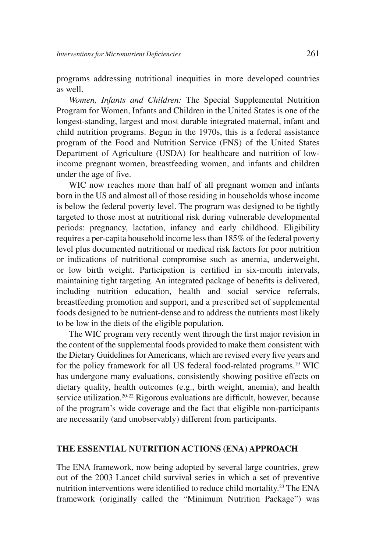programs addressing nutritional inequities in more developed countries as well.

*Women, Infants and Children:* The Special Supplemental Nutrition Program for Women, Infants and Children in the United States is one of the longest-standing, largest and most durable integrated maternal, infant and child nutrition programs. Begun in the 1970s, this is a federal assistance program of the Food and Nutrition Service (FNS) of the United States Department of Agriculture (USDA) for healthcare and nutrition of lowincome pregnant women, breastfeeding women, and infants and children under the age of five.

WIC now reaches more than half of all pregnant women and infants born in the US and almost all of those residing in households whose income is below the federal poverty level. The program was designed to be tightly targeted to those most at nutritional risk during vulnerable developmental periods: pregnancy, lactation, infancy and early childhood. Eligibility requires a per-capita household income less than 185% of the federal poverty level plus documented nutritional or medical risk factors for poor nutrition or indications of nutritional compromise such as anemia, underweight, or low birth weight. Participation is certified in six-month intervals, maintaining tight targeting. An integrated package of benefits is delivered, including nutrition education, health and social service referrals, breastfeeding promotion and support, and a prescribed set of supplemental foods designed to be nutrient-dense and to address the nutrients most likely to be low in the diets of the eligible population.

The WIC program very recently went through the first major revision in the content of the supplemental foods provided to make them consistent with the Dietary Guidelines for Americans, which are revised every five years and for the policy framework for all US federal food-related programs.<sup>19</sup> WIC has undergone many evaluations, consistently showing positive effects on dietary quality, health outcomes (e.g., birth weight, anemia), and health service utilization.<sup>20-22</sup> Rigorous evaluations are difficult, however, because of the program's wide coverage and the fact that eligible non-participants are necessarily (and unobservably) different from participants.

#### **THE ESSENTIAL NUTRITION ACTIONS (ENA) APPROACH**

The ENA framework, now being adopted by several large countries, grew out of the 2003 Lancet child survival series in which a set of preventive nutrition interventions were identified to reduce child mortality.<sup>23</sup> The ENA framework (originally called the "Minimum Nutrition Package") was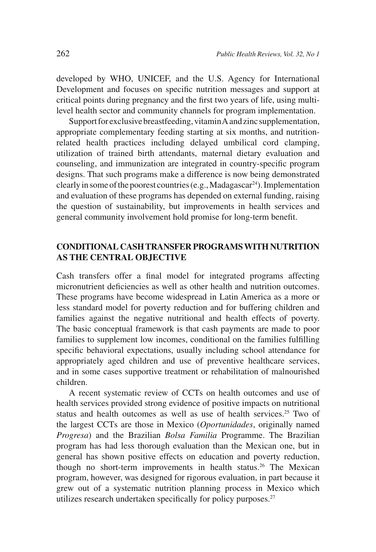developed by WHO, UNICEF, and the U.S. Agency for International Development and focuses on specific nutrition messages and support at critical points during pregnancy and the first two years of life, using multilevel health sector and community channels for program implementation.

Support for exclusive breastfeeding, vitamin A and zinc supplementation, appropriate complementary feeding starting at six months, and nutritionrelated health practices including delayed umbilical cord clamping, utilization of trained birth attendants, maternal dietary evaluation and counseling, and immunization are integrated in country-specific program designs. That such programs make a difference is now being demonstrated clearly in some of the poorest countries (e.g., Madagascar<sup>24</sup>). Implementation and evaluation of these programs has depended on external funding, raising the question of sustainability, but improvements in health services and general community involvement hold promise for long-term benefit.

## **CONDITIONAL CASH TRANSFER PROGRAMS WITH NUTRITION AS THE CENTRAL OBJECTIVE**

Cash transfers offer a final model for integrated programs affecting micronutrient deficiencies as well as other health and nutrition outcomes. These programs have become widespread in Latin America as a more or less standard model for poverty reduction and for buffering children and families against the negative nutritional and health effects of poverty. The basic conceptual framework is that cash payments are made to poor families to supplement low incomes, conditional on the families fulfilling specific behavioral expectations, usually including school attendance for appropriately aged children and use of preventive healthcare services, and in some cases supportive treatment or rehabilitation of malnourished children.

A recent systematic review of CCTs on health outcomes and use of health services provided strong evidence of positive impacts on nutritional status and health outcomes as well as use of health services.<sup>25</sup> Two of the largest CCTs are those in Mexico (*Oportunidades*, originally named *Progresa*) and the Brazilian *Bolsa Familia* Programme. The Brazilian program has had less thorough evaluation than the Mexican one, but in general has shown positive effects on education and poverty reduction, though no short-term improvements in health status.<sup>26</sup> The Mexican program, however, was designed for rigorous evaluation, in part because it grew out of a systematic nutrition planning process in Mexico which utilizes research undertaken specifically for policy purposes.<sup>27</sup>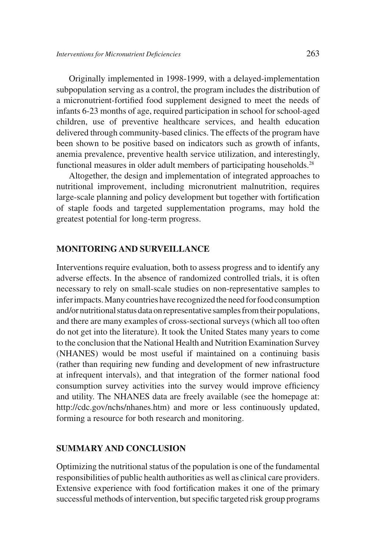Originally implemented in 1998-1999, with a delayed-implementation subpopulation serving as a control, the program includes the distribution of a micronutrient-fortified food supplement designed to meet the needs of infants 6-23 months of age, required participation in school for school-aged children, use of preventive healthcare services, and health education delivered through community-based clinics. The effects of the program have been shown to be positive based on indicators such as growth of infants, anemia prevalence, preventive health service utilization, and interestingly, functional measures in older adult members of participating households.<sup>28</sup>

Altogether, the design and implementation of integrated approaches to nutritional improvement, including micronutrient malnutrition, requires large-scale planning and policy development but together with fortification of staple foods and targeted supplementation programs, may hold the greatest potential for long-term progress.

## **MONITORING AND SURVEILLANCE**

Interventions require evaluation, both to assess progress and to identify any adverse effects. In the absence of randomized controlled trials, it is often necessary to rely on small-scale studies on non-representative samples to infer impacts. Many countries have recognized the need for food consumption and/or nutritional status data on representative samples from their populations, and there are many examples of cross-sectional surveys (which all too often do not get into the literature). It took the United States many years to come to the conclusion that the National Health and Nutrition Examination Survey (NHANES) would be most useful if maintained on a continuing basis (rather than requiring new funding and development of new infrastructure at infrequent intervals), and that integration of the former national food consumption survey activities into the survey would improve efficiency and utility. The NHANES data are freely available (see the homepage at: http://cdc.gov/nchs/nhanes.htm) and more or less continuously updated, forming a resource for both research and monitoring.

## **SUMMARY AND CONCLUSION**

Optimizing the nutritional status of the population is one of the fundamental responsibilities of public health authorities as well as clinical care providers. Extensive experience with food fortification makes it one of the primary successful methods of intervention, but specific targeted risk group programs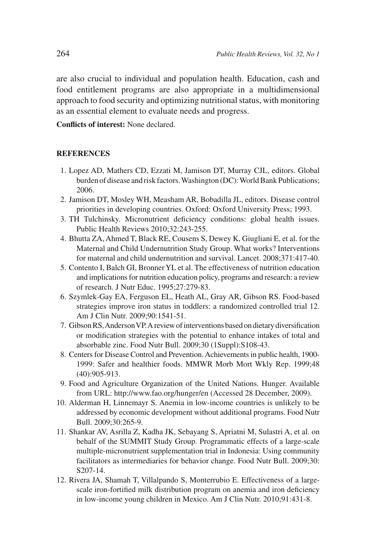are also crucial to individual and population health. Education, cash and food entitlement programs are also appropriate in a multidimensional approach to food security and optimizing nutritional status, with monitoring as an essential element to evaluate needs and progress.

**Conflicts of interest:** None declared.

#### **REFERENCES**

- 1. Lopez AD, Mathers CD, Ezzati M, Jamison DT, Murray CJL, editors. Global burden of disease and risk factors. Washington (DC): World Bank Publications; 2006.
- 2. Jamison DT, Mosley WH, Measham AR, Bobadilla JL, editors. Disease control priorities in developing countries. Oxford: Oxford University Press; 1993.
- 3. TH Tulchinsky. Micronutrient deficiency conditions: global health issues. Public Health Reviews 2010;32:243-255.
- 4. Bhutta ZA, Ahmed T, Black RE, Cousens S, Dewey K, Giugliani E, et al. for the Maternal and Child Undernutrition Study Group. What works? Interventions for maternal and child undernutrition and survival. Lancet. 2008;371:417-40.
- 5. Contento I, Balch GI, Bronner YL et al. The effectiveness of nutrition education and implications for nutrition education policy, programs and research: a review of research. J Nutr Educ. 1995;27:279-83.
- 6. Szymlek-Gay EA, Ferguson EL, Heath AL, Gray AR, Gibson RS. Food-based strategies improve iron status in toddlers: a randomized controlled trial 12. Am J Clin Nutr. 2009;90:1541-51.
- 7. Gibson RS, Anderson VP. A review of interventions based on dietary diversification or modification strategies with the potential to enhance intakes of total and absorbable zinc. Food Nutr Bull. 2009;30 (1Suppl):S108-43.
- 8. Centers for Disease Control and Prevention. Achievements in public health, 1900- 1999: Safer and healthier foods. MMWR Morb Mort Wkly Rep. 1999;48 (40):905-913.
- 9. Food and Agriculture Organization of the United Nations. Hunger. Available from URL: http://www.fao.org/hunger/en (Accessed 28 December, 2009).
- 10. Alderman H, Linnemayr S. Anemia in low-income countries is unlikely to be addressed by economic development without additional programs. Food Nutr Bull. 2009;30:265-9.
- 11. Shankar AV, Asrilla Z, Kadha JK, Sebayang S, Apriatni M, Sulastri A, et al. on behalf of the SUMMIT Study Group. Programmatic effects of a large-scale multiple-micronutrient supplementation trial in Indonesia: Using community facilitators as intermediaries for behavior change. Food Nutr Bull. 2009;30: S207-14.
- 12. Rivera JA, Shamah T, Villalpando S, Monterrubio E. Effectiveness of a largescale iron-fortified milk distribution program on anemia and iron deficiency in low-income young children in Mexico. Am J Clin Nutr. 2010;91:431-8.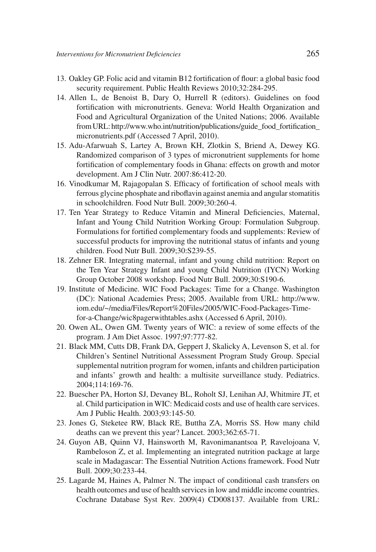- 13. Oakley GP. Folic acid and vitamin B12 fortification of flour: a global basic food security requirement. Public Health Reviews 2010;32:284-295.
- 14. Allen L, de Benoist B, Dary O, Hurrell R (editors). Guidelines on food fortification with micronutrients. Geneva: World Health Organization and Food and Agricultural Organization of the United Nations; 2006. Available from URL: http://www.who.int/nutrition/publications/guide\_food\_fortification\_ micronutrients.pdf (Accessed 7 April, 2010).
- 15. Adu-Afarwuah S, Lartey A, Brown KH, Zlotkin S, Briend A, Dewey KG. Randomized comparison of 3 types of micronutrient supplements for home fortification of complementary foods in Ghana: effects on growth and motor development. Am J Clin Nutr. 2007:86:412-20.
- 16. Vinodkumar M, Rajagopalan S. Efficacy of fortification of school meals with ferrous glycine phosphate and riboflavin against anemia and angular stomatitis in schoolchildren. Food Nutr Bull. 2009;30:260-4.
- 17. Ten Year Strategy to Reduce Vitamin and Mineral Deficiencies, Maternal, Infant and Young Child Nutrition Working Group: Formulation Subgroup. Formulations for fortified complementary foods and supplements: Review of successful products for improving the nutritional status of infants and young children. Food Nutr Bull. 2009;30:S239-55.
- 18. Zehner ER. Integrating maternal, infant and young child nutrition: Report on the Ten Year Strategy Infant and young Child Nutrition (IYCN) Working Group October 2008 workshop. Food Nutr Bull. 2009;30:S190-6.
- 19. Institute of Medicine. WIC Food Packages: Time for a Change. Washington (DC): National Academies Press; 2005. Available from URL: http://www. iom.edu/~/media/Files/Report%20Files/2005/WIC-Food-Packages-Timefor-a-Change/wic8pagerwithtables.ashx (Accessed 6 April, 2010).
- 20. Owen AL, Owen GM. Twenty years of WIC: a review of some effects of the program. J Am Diet Assoc. 1997;97:777-82.
- 21. Black MM, Cutts DB, Frank DA, Geppert J, Skalicky A, Levenson S, et al. for Children's Sentinel Nutritional Assessment Program Study Group. Special supplemental nutrition program for women, infants and children participation and infants' growth and health: a multisite surveillance study. Pediatrics. 2004;114:169-76.
- 22. Buescher PA, Horton SJ, Devaney BL, Roholt SJ, Lenihan AJ, Whitmire JT, et al. Child participation in WIC: Medicaid costs and use of health care services. Am J Public Health. 2003;93:145-50.
- 23. Jones G, Steketee RW, Black RE, Buttha ZA, Morris SS. How many child deaths can we prevent this year? Lancet. 2003;362:65-71.
- 24. Guyon AB, Quinn VJ, Hainsworth M, Ravonimanantsoa P, Ravelojoana V, Rambeloson Z, et al. Implementing an integrated nutrition package at large scale in Madagascar: The Essential Nutrition Actions framework. Food Nutr Bull. 2009;30:233-44.
- 25. Lagarde M, Haines A, Palmer N. The impact of conditional cash transfers on health outcomes and use of health services in low and middle income countries. Cochrane Database Syst Rev. 2009(4) CD008137. Available from URL: